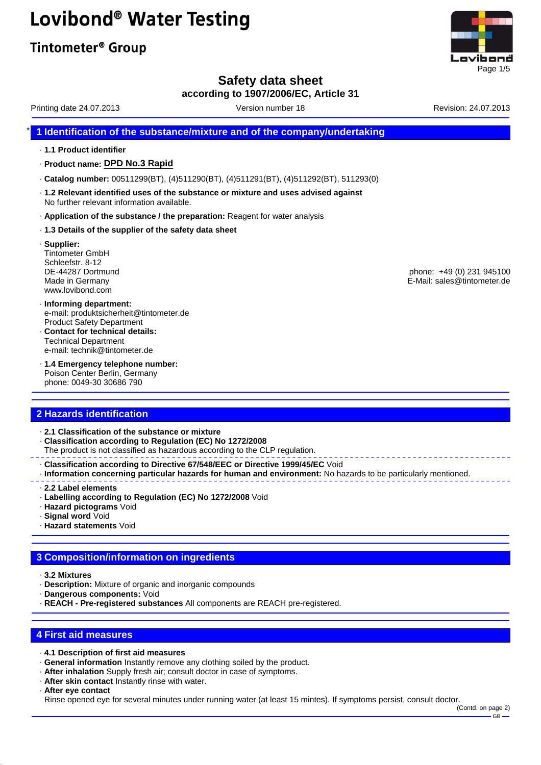# Lovibond<sup>®</sup> Water Testing

## Tintometer<sup>®</sup> Group

# vibond Page 1/5

### **Safety data sheet**

**according to 1907/2006/EC, Article 31**

Printing date 24.07.2013 **Version number 18** According to the Version: 24.07.2013

#### \* **1 Identification of the substance/mixture and of the company/undertaking**

- · **1.1 Product identifier**
- · **Product name: DPD No.3 Rapid**
- · **Catalog number:** 00511299(BT), (4)511290(BT), (4)511291(BT), (4)511292(BT), 511293(0)
- · **1.2 Relevant identified uses of the substance or mixture and uses advised against** No further relevant information available.
- · **Application of the substance / the preparation:** Reagent for water analysis
- · **1.3 Details of the supplier of the safety data sheet**
- · **Supplier:** Tintometer GmbH Schleefstr. 8-12 www.lovibond.com
- · **Informing department:** e-mail: produktsicherheit@tintometer.de Product Safety Department
- · **Contact for technical details:** Technical Department e-mail: technik@tintometer.de
- · **1.4 Emergency telephone number:** Poison Center Berlin, Germany phone: 0049-30 30686 790

#### **2 Hazards identification**

- · **2.1 Classification of the substance or mixture**
- · **Classification according to Regulation (EC) No 1272/2008**
- The product is not classified as hazardous according to the CLP regulation.
- · **Classification according to Directive 67/548/EEC or Directive 1999/45/EC** Void
- · **Information concerning particular hazards for human and environment:** No hazards to be particularly mentioned.
- · **2.2 Label elements**
- · **Labelling according to Regulation (EC) No 1272/2008** Void
- · **Hazard pictograms** Void
- · **Signal word** Void
- · **Hazard statements** Void

#### **3 Composition/information on ingredients**

- · **3.2 Mixtures**
- · **Description:** Mixture of organic and inorganic compounds
- · **Dangerous components:** Void
- · **REACH Pre-registered substances** All components are REACH pre-registered.

#### **4 First aid measures**

- · **4.1 Description of first aid measures**
- · **General information** Instantly remove any clothing soiled by the product.
- · **After inhalation** Supply fresh air; consult doctor in case of symptoms.
- · **After skin contact** Instantly rinse with water.
- · **After eye contact**

Rinse opened eye for several minutes under running water (at least 15 mintes). If symptoms persist, consult doctor.

DE-44287 Dortmund phone: +49 (0) 231 945100 Made in Germany E-Mail: sales@tintometer.de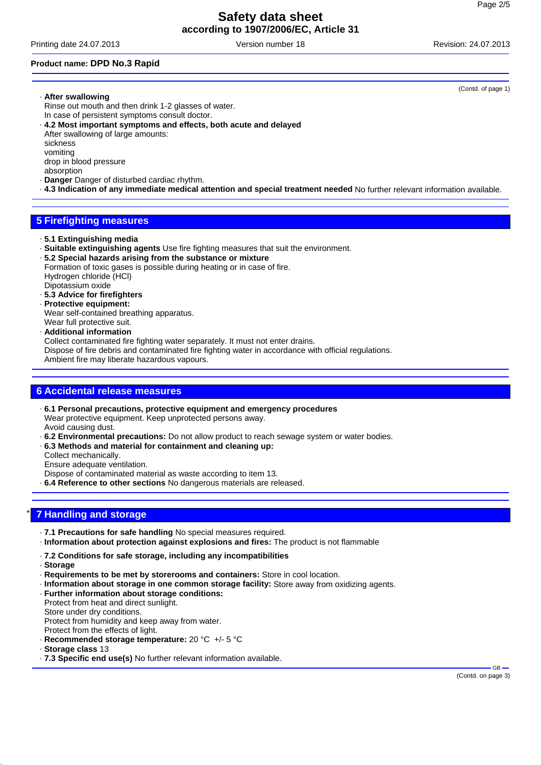Printing date 24.07.2013 Version number 18 Revision: 24.07.2013

#### **Product name: DPD No.3 Rapid**

#### · **After swallowing**

Rinse out mouth and then drink 1-2 glasses of water. In case of persistent symptoms consult doctor.

· **4.2 Most important symptoms and effects, both acute and delayed** After swallowing of large amounts:

sickness

vomiting

drop in blood pressure absorption

- · **Danger** Danger of disturbed cardiac rhythm.
- · **4.3 Indication of any immediate medical attention and special treatment needed** No further relevant information available.

#### **5 Firefighting measures**

- · **5.1 Extinguishing media**
- · **Suitable extinguishing agents** Use fire fighting measures that suit the environment.
- · **5.2 Special hazards arising from the substance or mixture** Formation of toxic gases is possible during heating or in case of fire. Hydrogen chloride (HCl) Dipotassium oxide
- · **5.3 Advice for firefighters**
- · **Protective equipment:**
- Wear self-contained breathing apparatus.
- Wear full protective suit.

#### · **Additional information**

Collect contaminated fire fighting water separately. It must not enter drains.

Dispose of fire debris and contaminated fire fighting water in accordance with official regulations. Ambient fire may liberate hazardous vapours.

#### **6 Accidental release measures**

- · **6.1 Personal precautions, protective equipment and emergency procedures** Wear protective equipment. Keep unprotected persons away. Avoid causing dust.
- · **6.2 Environmental precautions:** Do not allow product to reach sewage system or water bodies.
- · **6.3 Methods and material for containment and cleaning up:**

Collect mechanically.

Ensure adequate ventilation.

Dispose of contaminated material as waste according to item 13.

· **6.4 Reference to other sections** No dangerous materials are released.

#### \* **7 Handling and storage**

· **7.1 Precautions for safe handling** No special measures required.

· **Information about protection against explosions and fires:** The product is not flammable

- · **7.2 Conditions for safe storage, including any incompatibilities**
- · **Storage**
- · **Requirements to be met by storerooms and containers:** Store in cool location.
- · **Information about storage in one common storage facility:** Store away from oxidizing agents.
- · **Further information about storage conditions:**
- Protect from heat and direct sunlight.
- Store under dry conditions.
- Protect from humidity and keep away from water. Protect from the effects of light.
- · **Recommended storage temperature:** 20 °C +/- 5 °C
- · **Storage class** 13
- · **7.3 Specific end use(s)** No further relevant information available.

(Contd. of page 1)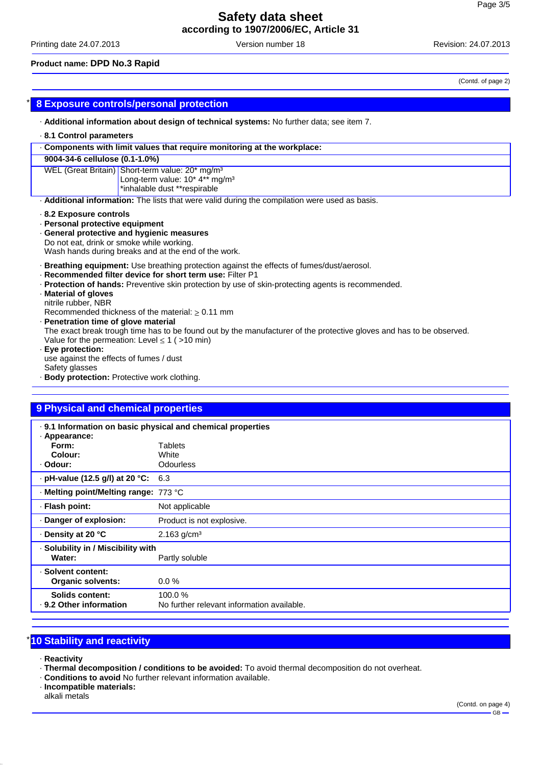Printing date 24.07.2013 Version number 18 Revision: 24.07.2013

#### **Product name: DPD No.3 Rapid**

(Contd. of page 2) \* **8 Exposure controls/personal protection** · **Additional information about design of technical systems:** No further data; see item 7. · **8.1 Control parameters** · **Components with limit values that require monitoring at the workplace: 9004-34-6 cellulose (0.1-1.0%)** WEL (Great Britain) Short-term value: 20\* mg/m<sup>3</sup> Long-term value: 10\* 4\*\* mg/m<sup>3</sup> \*inhalable dust \*\*respirable · **Additional information:** The lists that were valid during the compilation were used as basis. · **8.2 Exposure controls** · **Personal protective equipment** · **General protective and hygienic measures** Do not eat, drink or smoke while working. Wash hands during breaks and at the end of the work. · **Breathing equipment:** Use breathing protection against the effects of fumes/dust/aerosol. · **Recommended filter device for short term use:** Filter P1 · **Protection of hands:** Preventive skin protection by use of skin-protecting agents is recommended. · **Material of gloves** nitrile rubber, NBR Recommended thickness of the material:  $\geq 0.11$  mm · **Penetration time of glove material** The exact break trough time has to be found out by the manufacturer of the protective gloves and has to be observed. Value for the permeation: Level  $\leq 1$  ( > 10 min) · **Eye protection:** use against the effects of fumes / dust Safety glasses · **Body protection:** Protective work clothing. **9 Physical and chemical properties** · **9.1 Information on basic physical and chemical properties** · **Appearance: Form:** Tablets

| Colour:                                   | White                                      |  |
|-------------------------------------------|--------------------------------------------|--|
| · Odour:                                  | <b>Odourless</b>                           |  |
| $\cdot$ pH-value (12.5 g/l) at 20 °C: 6.3 |                                            |  |
| · Melting point/Melting range: 773 °C     |                                            |  |
| · Flash point:                            | Not applicable                             |  |
| · Danger of explosion:                    | Product is not explosive.                  |  |
| · Density at 20 °C                        | $2.163$ g/cm <sup>3</sup>                  |  |
| · Solubility in / Miscibility with        |                                            |  |
| Water:                                    | Partly soluble                             |  |
| · Solvent content:                        |                                            |  |
| <b>Organic solvents:</b>                  | $0.0 \%$                                   |  |
| Solids content:                           | 100.0%                                     |  |
| ⋅ 9.2 Other information                   | No further relevant information available. |  |
|                                           |                                            |  |

#### **10 Stability and reactivity**

- · **Reactivity**
- · **Thermal decomposition / conditions to be avoided:** To avoid thermal decomposition do not overheat.
- · **Conditions to avoid** No further relevant information available.
- · **Incompatible materials:**
- alkali metals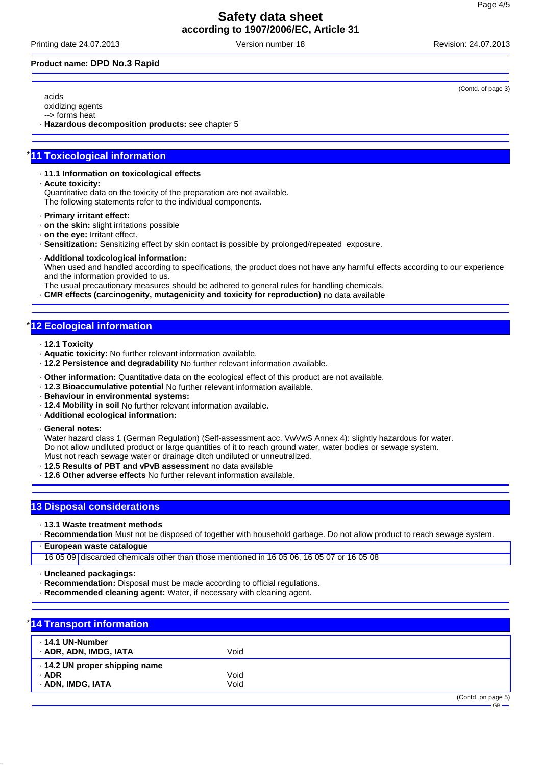Printing date 24.07.2013 Version number 18 Revision: 24.07.2013

#### **Product name: DPD No.3 Rapid**

(Contd. of page 3)

acids oxidizing agents --> forms heat

· **Hazardous decomposition products:** see chapter 5

#### **11 Toxicological information**

· **11.1 Information on toxicological effects**

· **Acute toxicity:**

Quantitative data on the toxicity of the preparation are not available.

The following statements refer to the individual components.

- · **Primary irritant effect:**
- · **on the skin:** slight irritations possible
- · **on the eye:** Irritant effect.
- · **Sensitization:** Sensitizing effect by skin contact is possible by prolonged/repeated exposure.
- · **Additional toxicological information:**

When used and handled according to specifications, the product does not have any harmful effects according to our experience and the information provided to us.

The usual precautionary measures should be adhered to general rules for handling chemicals.

· **CMR effects (carcinogenity, mutagenicity and toxicity for reproduction)** no data available

#### **12 Ecological information**

- · **12.1 Toxicity**
- · **Aquatic toxicity:** No further relevant information available.
- · **12.2 Persistence and degradability** No further relevant information available.
- · **Other information:** Quantitative data on the ecological effect of this product are not available.
- · **12.3 Bioaccumulative potential** No further relevant information available.
- · **Behaviour in environmental systems:**
- · **12.4 Mobility in soil** No further relevant information available.
- · **Additional ecological information:**
- · **General notes:**

Water hazard class 1 (German Regulation) (Self-assessment acc. VwVwS Annex 4): slightly hazardous for water. Do not allow undiluted product or large quantities of it to reach ground water, water bodies or sewage system. Must not reach sewage water or drainage ditch undiluted or unneutralized.

- · **12.5 Results of PBT and vPvB assessment** no data available
- · **12.6 Other adverse effects** No further relevant information available.

#### **13 Disposal considerations**

· **13.1 Waste treatment methods**

· **Recommendation** Must not be disposed of together with household garbage. Do not allow product to reach sewage system.

· **European waste catalogue**

16 05 09 discarded chemicals other than those mentioned in 16 05 06, 16 05 07 or 16 05 08

- · **Uncleaned packagings:**
- · **Recommendation:** Disposal must be made according to official regulations.
- · **Recommended cleaning agent:** Water, if necessary with cleaning agent.

| *14 Transport information                        |      |                    |
|--------------------------------------------------|------|--------------------|
| $\cdot$ 14.1 UN-Number<br>· ADR, ADN, IMDG, IATA | Void |                    |
| · 14.2 UN proper shipping name                   |      |                    |
| $·$ ADR                                          | Void |                    |
| · ADN, IMDG, IATA                                | Void |                    |
|                                                  |      | (Contd. on page 5) |